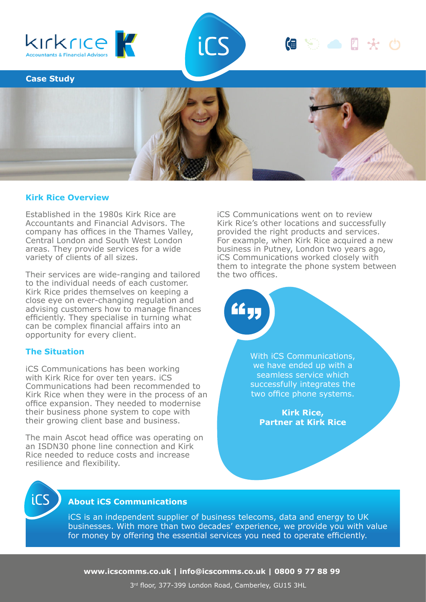



**Case Study**



### **Kirk Rice Overview**

Established in the 1980s Kirk Rice are Accountants and Financial Advisors. The company has offices in the Thames Valley, Central London and South West London areas. They provide services for a wide variety of clients of all sizes.

Their services are wide-ranging and tailored to the individual needs of each customer. Kirk Rice prides themselves on keeping a close eye on ever-changing regulation and advising customers how to manage finances efficiently. They specialise in turning what can be complex financial affairs into an opportunity for every client.

## **The Situation**

iCS Communications has been working with Kirk Rice for over ten years. iCS Communications had been recommended to Kirk Rice when they were in the process of an office expansion. They needed to modernise their business phone system to cope with their growing client base and business.

The main Ascot head office was operating on an ISDN30 phone line connection and Kirk Rice needed to reduce costs and increase resilience and flexibility.

iCS Communications went on to review Kirk Rice's other locations and successfully provided the right products and services. For example, when Kirk Rice acquired a new business in Putney, London two years ago, iCS Communications worked closely with them to integrate the phone system between the two offices.

偏等合日天的

With iCS Communications, we have ended up with a seamless service which successfully integrates the two office phone systems.

**Kirk Rice, Partner at Kirk Rice**



## **About iCS Communications**

iCS is an independent supplier of business telecoms, data and energy to UK businesses. With more than two decades' experience, we provide you with value for money by offering the essential services you need to operate efficiently.

<u>ار کا</u>

**www.icscomms.co.uk | info@icscomms.co.uk | 0800 9 77 88 99**

3 rd floor, 377-399 London Road, Camberley, GU15 3HL